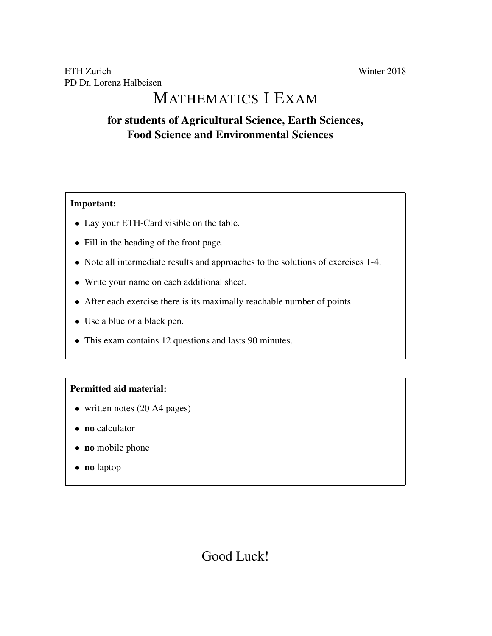# MATHEMATICS I EXAM

## for students of Agricultural Science, Earth Sciences, Food Science and Environmental Sciences

### Important:

- Lay your ETH-Card visible on the table.
- Fill in the heading of the front page.
- Note all intermediate results and approaches to the solutions of exercises 1-4.
- Write your name on each additional sheet.
- After each exercise there is its maximally reachable number of points.
- Use a blue or a black pen.
- This exam contains 12 questions and lasts 90 minutes.

### Permitted aid material:

- written notes (20 A4 pages)
- no calculator
- no mobile phone
- no laptop

## Good Luck!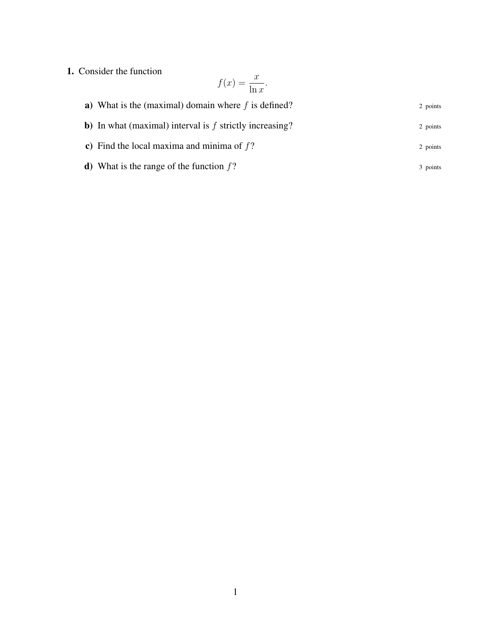1. Consider the function

$$
f(x) = \frac{x}{\ln x}.
$$

| a) What is the (maximal) domain where $f$ is defined?             | 2 points |
|-------------------------------------------------------------------|----------|
| <b>b</b> ) In what (maximal) interval is $f$ strictly increasing? | 2 points |
| c) Find the local maxima and minima of $f$ ?                      | 2 points |
| <b>d</b> ) What is the range of the function $f$ ?                | 3 points |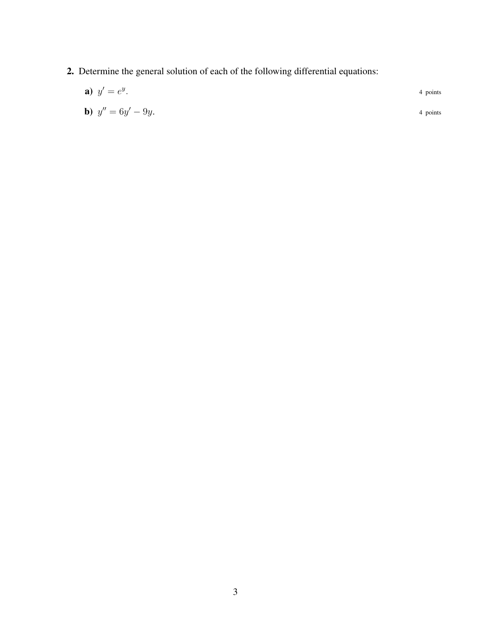2. Determine the general solution of each of the following differential equations:

| <b>a</b> ) $y' = e^y$ .       | 4 points |
|-------------------------------|----------|
| <b>b</b> ) $y'' = 6y' - 9y$ . | 4 points |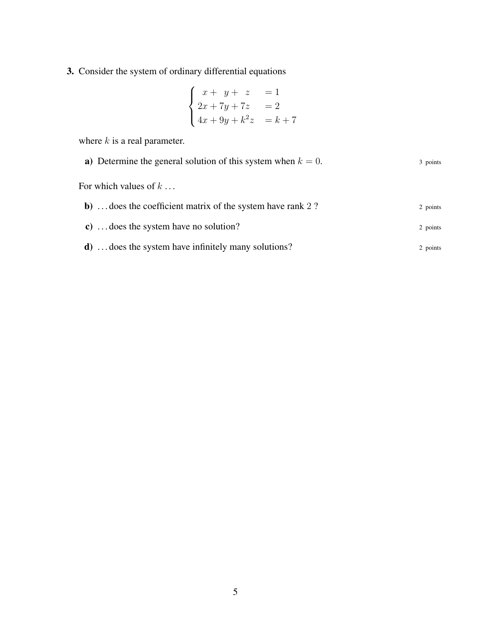3. Consider the system of ordinary differential equations

$$
\begin{cases}\nx + y + z &= 1 \\
2x + 7y + 7z &= 2 \\
4x + 9y + k^2z &= k + 7\n\end{cases}
$$

where  $k$  is a real parameter.

| a) Determine the general solution of this system when $k = 0$ .    | 3 points |
|--------------------------------------------------------------------|----------|
| For which values of $k$                                            |          |
| <b>b</b> )  does the coefficient matrix of the system have rank 2? | 2 points |
| c)  does the system have no solution?                              | 2 points |
| <b>d</b> )  does the system have infinitely many solutions?        | 2 points |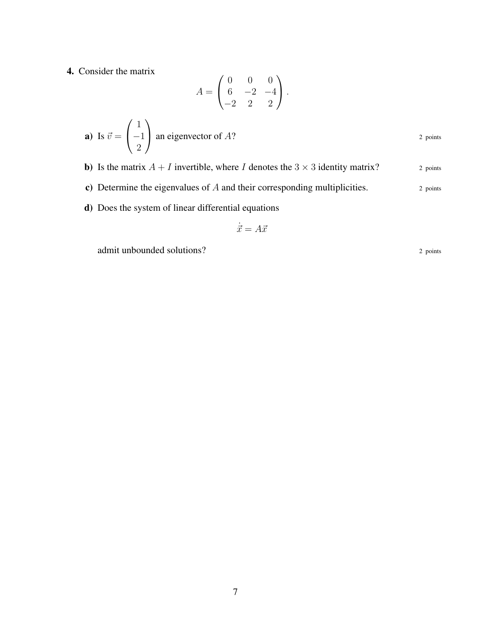4. Consider the matrix

$$
A = \begin{pmatrix} 0 & 0 & 0 \\ 6 & -2 & -4 \\ -2 & 2 & 2 \end{pmatrix}.
$$

**a)** Is 
$$
\vec{v} = \begin{pmatrix} 1 \\ -1 \\ 2 \end{pmatrix}
$$
 an eigenvector of A?

**b**) Is the matrix  $A + I$  invertible, where I denotes the  $3 \times 3$  identity matrix?

c) Determine the eigenvalues of  $A$  and their corresponding multiplicities.  $2$  points

d) Does the system of linear differential equations

$$
\dot{\vec{x}} = A\vec{x}
$$

admit unbounded solutions?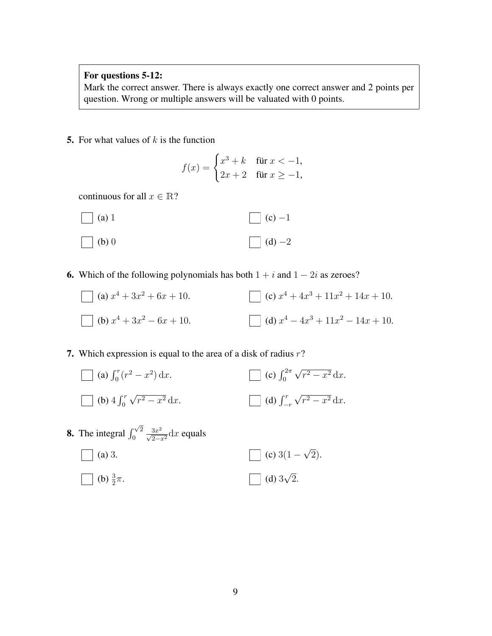#### For questions 5-12:

Mark the correct answer. There is always exactly one correct answer and 2 points per question. Wrong or multiple answers will be valuated with 0 points.

5. For what values of  $k$  is the function

$$
f(x) = \begin{cases} x^3 + k & \text{für } x < -1, \\ 2x + 2 & \text{für } x \ge -1, \end{cases}
$$

continuous for all  $x \in \mathbb{R}$ ?



6. Which of the following polynomials has both  $1 + i$  and  $1 - 2i$  as zeroes?

(a) 
$$
x^4 + 3x^2 + 6x + 10
$$
.  
\n(b)  $x^4 + 3x^2 - 6x + 10$ .  
\n(c)  $x^4 + 4x^3 + 11x^2 + 14x + 10$ .  
\n(d)  $x^4 - 4x^3 + 11x^2 - 14x + 10$ .

7. Which expression is equal to the area of a disk of radius  $r$ ?

(a) 
$$
\int_0^r (r^2 - x^2) dx
$$
.  
\n(b)  $4 \int_0^r \sqrt{r^2 - x^2} dx$ .  
\n(d)  $\int_{-r}^r \sqrt{r^2 - x^2} dx$ .

**8.** The integral  $\int_0^{\sqrt{2}}$ 0  $\frac{3x^2}{\sqrt{2-x^2}}dx$  equals  $\top$  (a) 3. (b)  $\frac{3}{2}\pi$ .  $(c)$  3(1 – √ 2). (d) 3 √ 2.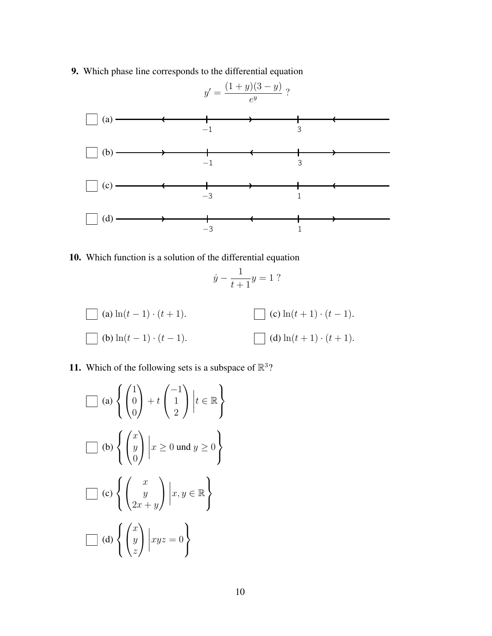9. Which phase line corresponds to the differential equation



10. Which function is a solution of the differential equation

$$
\dot{y} - \frac{1}{t+1}y = 1
$$
 ?

(a) 
$$
\ln(t-1) \cdot (t+1)
$$
.  
\n(b)  $\ln(t-1) \cdot (t-1)$ .  
\n(c)  $\ln(t+1) \cdot (t-1)$ .  
\n(d)  $\ln(t+1) \cdot (t+1)$ .

11. Which of the following sets is a subspace of  $\mathbb{R}^3$ ?

$$
\Box \text{ (a) } \left\{ \begin{pmatrix} 1 \\ 0 \\ 0 \end{pmatrix} + t \begin{pmatrix} -1 \\ 1 \\ 2 \end{pmatrix} \middle| t \in \mathbb{R} \right\}
$$

$$
\Box \text{ (b) } \left\{ \begin{pmatrix} x \\ y \\ 0 \end{pmatrix} \middle| x \ge 0 \text{ und } y \ge 0 \right\}
$$

$$
\Box \text{ (c) } \left\{ \begin{pmatrix} x \\ y \\ 2x + y \end{pmatrix} \middle| x, y \in \mathbb{R} \right\}
$$

$$
\Box \text{ (d) } \left\{ \begin{pmatrix} x \\ y \\ z \end{pmatrix} \middle| xyz = 0 \right\}
$$